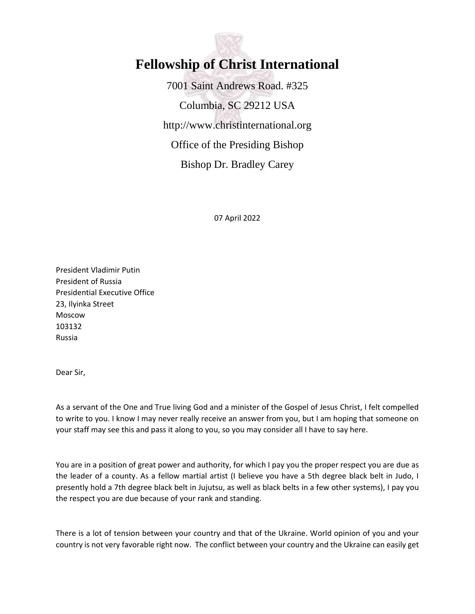

## **Fellowship of Christ International**

7001 Saint Andrews Road. #325 Columbia, SC 29212 USA http://www.christinternational.org Office of the Presiding Bishop Bishop Dr. Bradley Carey

07 April 2022

President Vladimir Putin President of Russia Presidential Executive Office 23, Ilyinka Street Moscow 103132 Russia

Dear Sir,

As a servant of the One and True living God and a minister of the Gospel of Jesus Christ, I felt compelled to write to you. I know I may never really receive an answer from you, but I am hoping that someone on your staff may see this and pass it along to you, so you may consider all I have to say here.

You are in a position of great power and authority, for which I pay you the proper respect you are due as the leader of a county. As a fellow martial artist (I believe you have a 5th degree black belt in Judo, I presently hold a 7th degree black belt in Jujutsu, as well as black belts in a few other systems), I pay you the respect you are due because of your rank and standing.

There is a lot of tension between your country and that of the Ukraine. World opinion of you and your country is not very favorable right now. The conflict between your country and the Ukraine can easily get